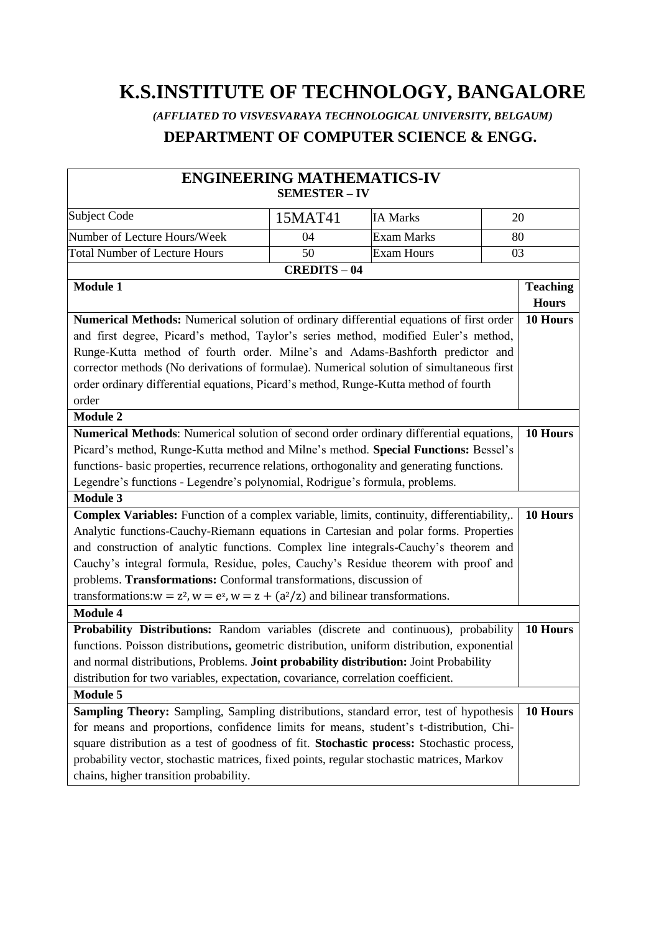# **K.S.INSTITUTE OF TECHNOLOGY, BANGALORE**

 *(AFFLIATED TO VISVESVARAYA TECHNOLOGICAL UNIVERSITY, BELGAUM)*

# **DEPARTMENT OF COMPUTER SCIENCE & ENGG.**

| <b>ENGINEERING MATHEMATICS-IV</b>                                                              | <b>SEMESTER - IV</b> |                   |                 |
|------------------------------------------------------------------------------------------------|----------------------|-------------------|-----------------|
|                                                                                                |                      |                   |                 |
| Subject Code                                                                                   | 15MAT41              | <b>IA Marks</b>   | 20              |
| Number of Lecture Hours/Week                                                                   | 04                   | <b>Exam Marks</b> | 80              |
| <b>Total Number of Lecture Hours</b>                                                           | 50                   | <b>Exam Hours</b> | 03              |
|                                                                                                | <b>CREDITS-04</b>    |                   |                 |
| <b>Module 1</b>                                                                                |                      |                   | <b>Teaching</b> |
|                                                                                                |                      |                   | <b>Hours</b>    |
| <b>Numerical Methods:</b> Numerical solution of ordinary differential equations of first order |                      |                   | 10 Hours        |
| and first degree, Picard's method, Taylor's series method, modified Euler's method,            |                      |                   |                 |
| Runge-Kutta method of fourth order. Milne's and Adams-Bashforth predictor and                  |                      |                   |                 |
| corrector methods (No derivations of formulae). Numerical solution of simultaneous first       |                      |                   |                 |
| order ordinary differential equations, Picard's method, Runge-Kutta method of fourth           |                      |                   |                 |
| order                                                                                          |                      |                   |                 |
| <b>Module 2</b>                                                                                |                      |                   |                 |
| Numerical Methods: Numerical solution of second order ordinary differential equations,         |                      |                   | 10 Hours        |
| Picard's method, Runge-Kutta method and Milne's method. Special Functions: Bessel's            |                      |                   |                 |
| functions- basic properties, recurrence relations, orthogonality and generating functions.     |                      |                   |                 |
| Legendre's functions - Legendre's polynomial, Rodrigue's formula, problems.                    |                      |                   |                 |
| <b>Module 3</b>                                                                                |                      |                   |                 |
| Complex Variables: Function of a complex variable, limits, continuity, differentiability,.     |                      |                   | 10 Hours        |
| Analytic functions-Cauchy-Riemann equations in Cartesian and polar forms. Properties           |                      |                   |                 |
| and construction of analytic functions. Complex line integrals-Cauchy's theorem and            |                      |                   |                 |
| Cauchy's integral formula, Residue, poles, Cauchy's Residue theorem with proof and             |                      |                   |                 |
| problems. Transformations: Conformal transformations, discussion of                            |                      |                   |                 |
| transformations: $w = z^2$ , $w = e^z$ , $w = z + (a^2/z)$ and bilinear transformations.       |                      |                   |                 |
| <b>Module 4</b>                                                                                |                      |                   |                 |
| Probability Distributions: Random variables (discrete and continuous), probability             |                      |                   | 10 Hours        |
| functions. Poisson distributions, geometric distribution, uniform distribution, exponential    |                      |                   |                 |
| and normal distributions, Problems. Joint probability distribution: Joint Probability          |                      |                   |                 |
| distribution for two variables, expectation, covariance, correlation coefficient.              |                      |                   |                 |
| <b>Module 5</b>                                                                                |                      |                   |                 |
| Sampling Theory: Sampling, Sampling distributions, standard error, test of hypothesis          |                      |                   | 10 Hours        |
| for means and proportions, confidence limits for means, student's t-distribution, Chi-         |                      |                   |                 |
| square distribution as a test of goodness of fit. Stochastic process: Stochastic process,      |                      |                   |                 |
| probability vector, stochastic matrices, fixed points, regular stochastic matrices, Markov     |                      |                   |                 |
| chains, higher transition probability.                                                         |                      |                   |                 |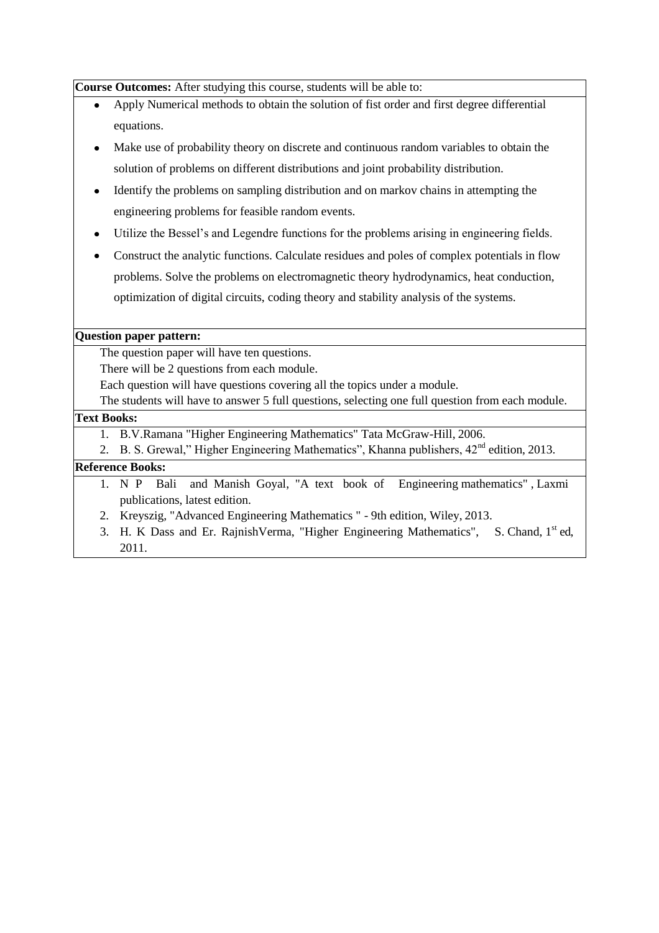**Course Outcomes:** After studying this course, students will be able to:

- Apply Numerical methods to obtain the solution of fist order and first degree differential equations.
- Make use of probability theory on discrete and continuous random variables to obtain the solution of problems on different distributions and joint probability distribution.
- Identify the problems on sampling distribution and on markov chains in attempting the engineering problems for feasible random events.
- Utilize the Bessel"s and Legendre functions for the problems arising in engineering fields.
- Construct the analytic functions. Calculate residues and poles of complex potentials in flow problems. Solve the problems on electromagnetic theory hydrodynamics, heat conduction, optimization of digital circuits, coding theory and stability analysis of the systems.

#### **Question paper pattern:**

The question paper will have ten questions.

There will be 2 questions from each module.

Each question will have questions covering all the topics under a module.

The students will have to answer 5 full questions, selecting one full question from each module.

#### **Text Books:**

- 1. B.V.Ramana "Higher Engineering Mathematics" Tata McGraw-Hill, 2006.
- 2. B. S. Grewal," Higher Engineering Mathematics", Khanna publishers,  $42<sup>nd</sup>$  edition, 2013.

## **Reference Books:**

- 1. N P Bali and Manish Goyal, "A text book of Engineering mathematics" , Laxmi publications, latest edition.
- 2. Kreyszig, "Advanced Engineering Mathematics " 9th edition, Wiley, 2013.
- 3. H. K Dass and Er. RajnishVerma, "Higher Engineering Mathematics", S. Chand, 1<sup>st</sup> ed, 2011.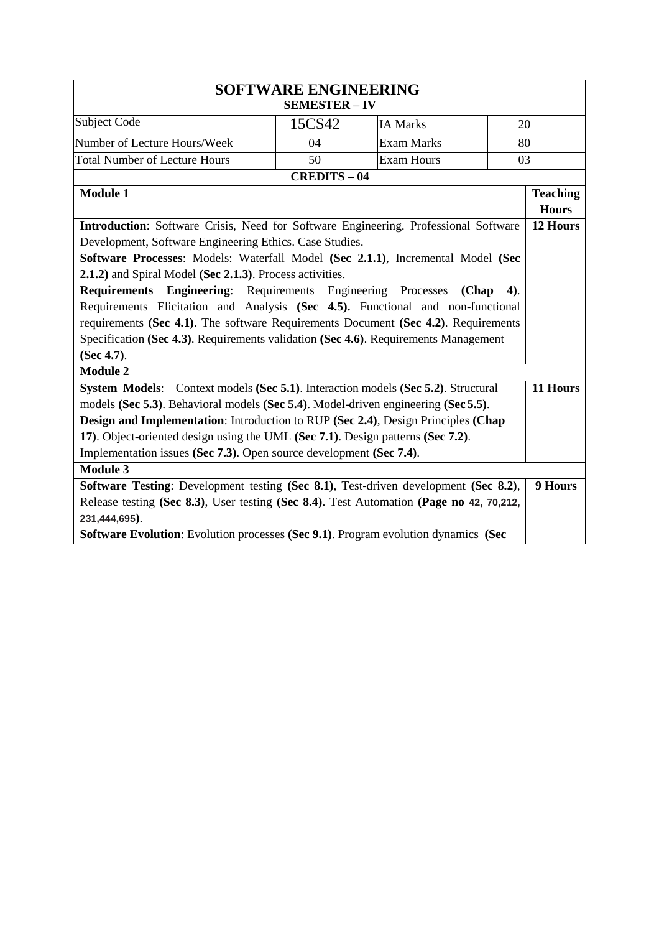| <b>SOFTWARE ENGINEERING</b><br><b>SEMESTER - IV</b>                                                                                                                                                                                                                                                                                                                                                                                                                                                                                                                                                                                        |                   |                   |                                 |
|--------------------------------------------------------------------------------------------------------------------------------------------------------------------------------------------------------------------------------------------------------------------------------------------------------------------------------------------------------------------------------------------------------------------------------------------------------------------------------------------------------------------------------------------------------------------------------------------------------------------------------------------|-------------------|-------------------|---------------------------------|
| Subject Code                                                                                                                                                                                                                                                                                                                                                                                                                                                                                                                                                                                                                               | 15CS42            | <b>IA Marks</b>   | 20                              |
| Number of Lecture Hours/Week                                                                                                                                                                                                                                                                                                                                                                                                                                                                                                                                                                                                               | 04                | <b>Exam Marks</b> | 80                              |
| <b>Total Number of Lecture Hours</b>                                                                                                                                                                                                                                                                                                                                                                                                                                                                                                                                                                                                       | 50                | <b>Exam Hours</b> | 03                              |
|                                                                                                                                                                                                                                                                                                                                                                                                                                                                                                                                                                                                                                            | <b>CREDITS-04</b> |                   |                                 |
| <b>Module 1</b>                                                                                                                                                                                                                                                                                                                                                                                                                                                                                                                                                                                                                            |                   |                   | <b>Teaching</b><br><b>Hours</b> |
| Introduction: Software Crisis, Need for Software Engineering. Professional Software<br>Development, Software Engineering Ethics. Case Studies.<br>Software Processes: Models: Waterfall Model (Sec 2.1.1), Incremental Model (Sec<br>2.1.2) and Spiral Model (Sec 2.1.3). Process activities.<br>Requirements Engineering: Requirements Engineering Processes<br>Requirements Elicitation and Analysis (Sec 4.5). Functional and non-functional<br>requirements (Sec 4.1). The software Requirements Document (Sec 4.2). Requirements<br>Specification (Sec 4.3). Requirements validation (Sec 4.6). Requirements Management<br>(Sec 4.7). |                   | (Chap             | 12 Hours<br>$4)$ .              |
| <b>Module 2</b><br>System Models: Context models (Sec 5.1). Interaction models (Sec 5.2). Structural<br>models (Sec 5.3). Behavioral models (Sec 5.4). Model-driven engineering (Sec 5.5).<br>Design and Implementation: Introduction to RUP (Sec 2.4), Design Principles (Chap<br>17). Object-oriented design using the UML (Sec 7.1). Design patterns (Sec 7.2).<br>Implementation issues (Sec 7.3). Open source development (Sec 7.4).<br><b>Module 3</b>                                                                                                                                                                               |                   |                   | 11 Hours                        |
| <b>Software Testing:</b> Development testing (Sec 8.1), Test-driven development (Sec 8.2),<br>Release testing (Sec 8.3), User testing (Sec 8.4). Test Automation (Page no 42, 70,212,<br>231,444,695).<br><b>Software Evolution:</b> Evolution processes (Sec 9.1). Program evolution dynamics (Sec                                                                                                                                                                                                                                                                                                                                        |                   |                   | 9 Hours                         |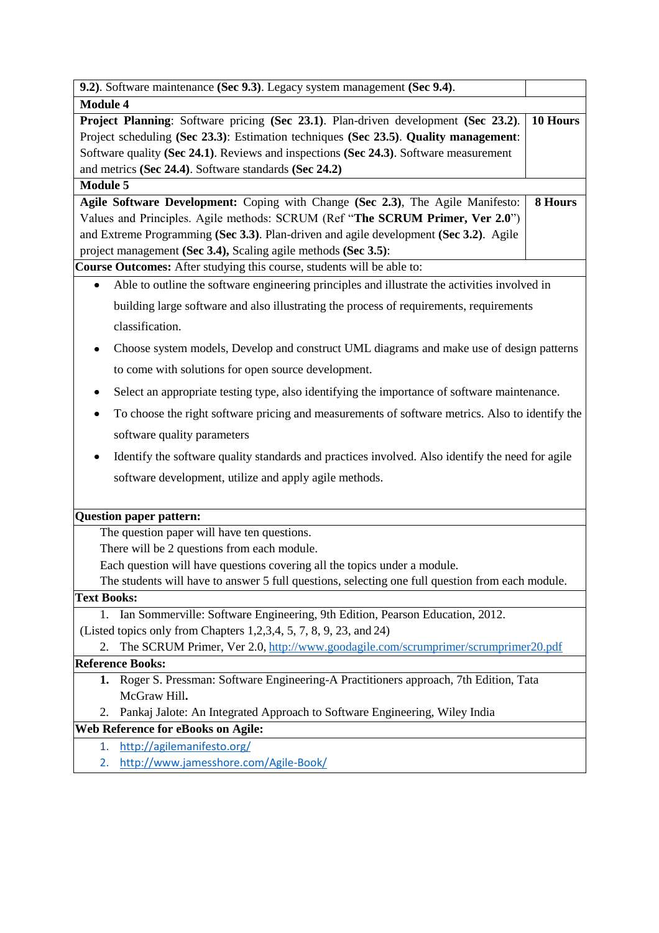| 9.2). Software maintenance (Sec 9.3). Legacy system management (Sec 9.4).                                                                |          |
|------------------------------------------------------------------------------------------------------------------------------------------|----------|
| <b>Module 4</b>                                                                                                                          |          |
| Project Planning: Software pricing (Sec 23.1). Plan-driven development (Sec 23.2).                                                       | 10 Hours |
| Project scheduling (Sec 23.3): Estimation techniques (Sec 23.5). Quality management:                                                     |          |
| Software quality (Sec 24.1). Reviews and inspections (Sec 24.3). Software measurement                                                    |          |
| and metrics (Sec 24.4). Software standards (Sec 24.2)                                                                                    |          |
| <b>Module 5</b>                                                                                                                          |          |
| Agile Software Development: Coping with Change (Sec 2.3), The Agile Manifesto:                                                           | 8 Hours  |
| Values and Principles. Agile methods: SCRUM (Ref "The SCRUM Primer, Ver 2.0")                                                            |          |
| and Extreme Programming (Sec 3.3). Plan-driven and agile development (Sec 3.2). Agile                                                    |          |
| project management (Sec 3.4), Scaling agile methods (Sec 3.5):<br>Course Outcomes: After studying this course, students will be able to: |          |
| Able to outline the software engineering principles and illustrate the activities involved in                                            |          |
|                                                                                                                                          |          |
| building large software and also illustrating the process of requirements, requirements                                                  |          |
| classification.                                                                                                                          |          |
| Choose system models, Develop and construct UML diagrams and make use of design patterns                                                 |          |
| to come with solutions for open source development.                                                                                      |          |
| Select an appropriate testing type, also identifying the importance of software maintenance.                                             |          |
| To choose the right software pricing and measurements of software metrics. Also to identify the                                          |          |
| software quality parameters                                                                                                              |          |
| Identify the software quality standards and practices involved. Also identify the need for agile                                         |          |
| software development, utilize and apply agile methods.                                                                                   |          |
| Question paper pattern:                                                                                                                  |          |
| The question paper will have ten questions.                                                                                              |          |
| There will be 2 questions from each module.                                                                                              |          |
| Each question will have questions covering all the topics under a module.                                                                |          |
| The students will have to answer 5 full questions, selecting one full question from each module.                                         |          |
| <b>Text Books:</b>                                                                                                                       |          |
| Ian Sommerville: Software Engineering, 9th Edition, Pearson Education, 2012.<br>1.                                                       |          |
| (Listed topics only from Chapters 1,2,3,4, 5, 7, 8, 9, 23, and 24)                                                                       |          |
| The SCRUM Primer, Ver 2.0, http://www.goodagile.com/scrumprimer/scrumprimer20.pdf<br>2.                                                  |          |
| <b>Reference Books:</b>                                                                                                                  |          |
| Roger S. Pressman: Software Engineering-A Practitioners approach, 7th Edition, Tata<br>ı.                                                |          |
| McGraw Hill.                                                                                                                             |          |
| Pankaj Jalote: An Integrated Approach to Software Engineering, Wiley India<br>2.                                                         |          |
| <b>Web Reference for eBooks on Agile:</b>                                                                                                |          |
| http://agilemanifesto.org/<br>1.                                                                                                         |          |
| http://www.jamesshore.com/Agile-Book/<br>2.                                                                                              |          |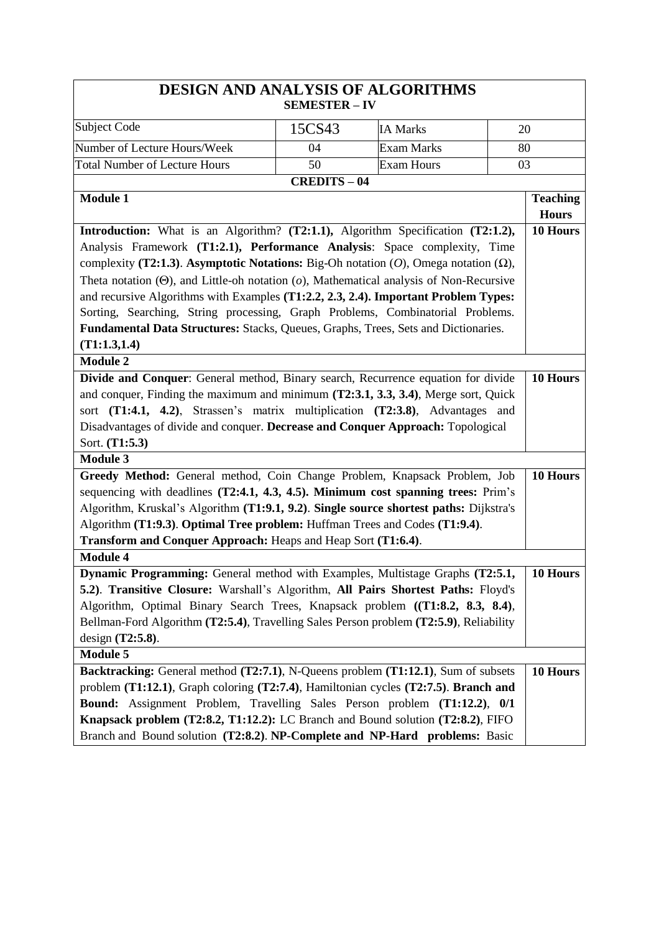|                                                                                                   | <b>SEMESTER - IV</b> | <b>DESIGN AND ANALYSIS OF ALGORITHMS</b> |                 |
|---------------------------------------------------------------------------------------------------|----------------------|------------------------------------------|-----------------|
|                                                                                                   |                      |                                          |                 |
| Subject Code                                                                                      | 15CS43               | <b>IA Marks</b>                          | 20              |
| Number of Lecture Hours/Week                                                                      | 04                   | <b>Exam Marks</b>                        | 80              |
| <b>Total Number of Lecture Hours</b>                                                              | 50                   | <b>Exam Hours</b>                        | 03              |
|                                                                                                   | <b>CREDITS-04</b>    |                                          |                 |
| <b>Module 1</b>                                                                                   |                      |                                          | <b>Teaching</b> |
|                                                                                                   |                      |                                          | <b>Hours</b>    |
| Introduction: What is an Algorithm? (T2:1.1), Algorithm Specification (T2:1.2),                   |                      |                                          | 10 Hours        |
| Analysis Framework (T1:2.1), Performance Analysis: Space complexity, Time                         |                      |                                          |                 |
| complexity (T2:1.3). Asymptotic Notations: Big-Oh notation $(O)$ , Omega notation $(\Omega)$ ,    |                      |                                          |                 |
| Theta notation $(\Theta)$ , and Little-oh notation $(o)$ , Mathematical analysis of Non-Recursive |                      |                                          |                 |
| and recursive Algorithms with Examples (T1:2.2, 2.3, 2.4). Important Problem Types:               |                      |                                          |                 |
| Sorting, Searching, String processing, Graph Problems, Combinatorial Problems.                    |                      |                                          |                 |
| Fundamental Data Structures: Stacks, Queues, Graphs, Trees, Sets and Dictionaries.                |                      |                                          |                 |
| (T1:1.3,1.4)                                                                                      |                      |                                          |                 |
| <b>Module 2</b>                                                                                   |                      |                                          |                 |
| Divide and Conquer: General method, Binary search, Recurrence equation for divide                 |                      |                                          | 10 Hours        |
| and conquer, Finding the maximum and minimum (T2:3.1, 3.3, 3.4), Merge sort, Quick                |                      |                                          |                 |
| sort (T1:4.1, 4.2), Strassen's matrix multiplication (T2:3.8), Advantages and                     |                      |                                          |                 |
| Disadvantages of divide and conquer. Decrease and Conquer Approach: Topological                   |                      |                                          |                 |
| Sort. (T1:5.3)                                                                                    |                      |                                          |                 |
| <b>Module 3</b>                                                                                   |                      |                                          |                 |
| Greedy Method: General method, Coin Change Problem, Knapsack Problem, Job                         |                      |                                          | 10 Hours        |
| sequencing with deadlines (T2:4.1, 4.3, 4.5). Minimum cost spanning trees: Prim's                 |                      |                                          |                 |
| Algorithm, Kruskal's Algorithm (T1:9.1, 9.2). Single source shortest paths: Dijkstra's            |                      |                                          |                 |
| Algorithm (T1:9.3). Optimal Tree problem: Huffman Trees and Codes (T1:9.4).                       |                      |                                          |                 |
| Transform and Conquer Approach: Heaps and Heap Sort (T1:6.4).                                     |                      |                                          |                 |
| <b>Module 4</b>                                                                                   |                      |                                          |                 |
| Dynamic Programming: General method with Examples, Multistage Graphs (T2:5.1,                     |                      |                                          | 10 Hours        |
| 5.2). Transitive Closure: Warshall's Algorithm, All Pairs Shortest Paths: Floyd's                 |                      |                                          |                 |
| Algorithm, Optimal Binary Search Trees, Knapsack problem ((T1:8.2, 8.3, 8.4),                     |                      |                                          |                 |
| Bellman-Ford Algorithm (T2:5.4), Travelling Sales Person problem (T2:5.9), Reliability            |                      |                                          |                 |
| design $(T2:5.8)$ .                                                                               |                      |                                          |                 |
| Module 5                                                                                          |                      |                                          |                 |
| Backtracking: General method (T2:7.1), N-Queens problem (T1:12.1), Sum of subsets                 |                      |                                          | 10 Hours        |
| problem (T1:12.1), Graph coloring (T2:7.4), Hamiltonian cycles (T2:7.5). Branch and               |                      |                                          |                 |
| Bound: Assignment Problem, Travelling Sales Person problem (T1:12.2), 0/1                         |                      |                                          |                 |
| Knapsack problem (T2:8.2, T1:12.2): LC Branch and Bound solution (T2:8.2), FIFO                   |                      |                                          |                 |
| Branch and Bound solution (T2:8.2). NP-Complete and NP-Hard problems: Basic                       |                      |                                          |                 |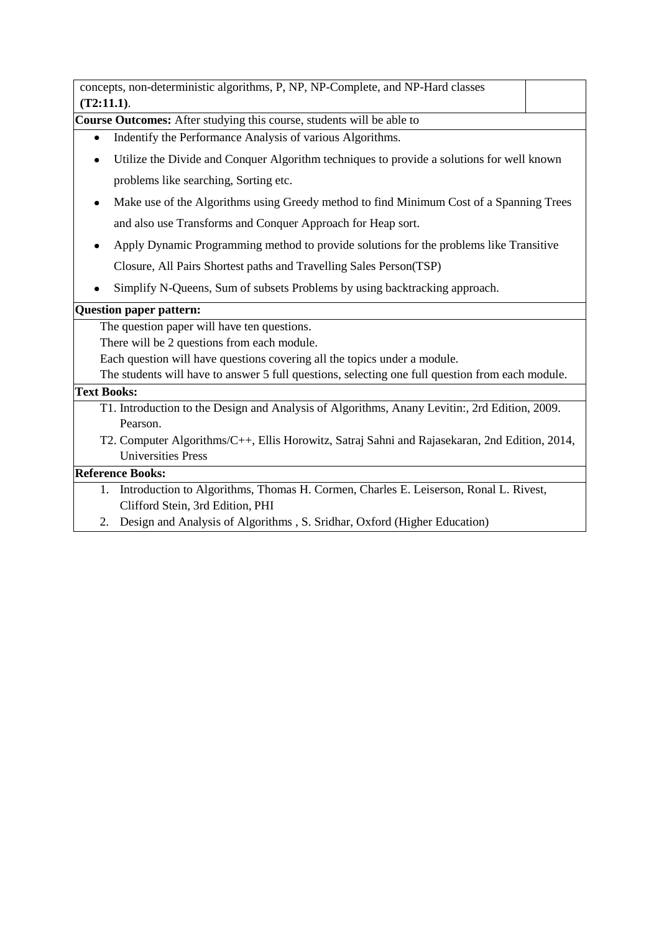| concepts, non-deterministic algorithms, P, NP, NP-Complete, and NP-Hard classes                  |  |
|--------------------------------------------------------------------------------------------------|--|
| (T2:11.1).                                                                                       |  |
| Course Outcomes: After studying this course, students will be able to                            |  |
| Indentify the Performance Analysis of various Algorithms.                                        |  |
| Utilize the Divide and Conquer Algorithm techniques to provide a solutions for well known        |  |
| problems like searching, Sorting etc.                                                            |  |
| Make use of the Algorithms using Greedy method to find Minimum Cost of a Spanning Trees<br>٠     |  |
| and also use Transforms and Conquer Approach for Heap sort.                                      |  |
| Apply Dynamic Programming method to provide solutions for the problems like Transitive           |  |
| Closure, All Pairs Shortest paths and Travelling Sales Person(TSP)                               |  |
| Simplify N-Queens, Sum of subsets Problems by using backtracking approach.                       |  |
| <b>Question paper pattern:</b>                                                                   |  |
| The question paper will have ten questions.                                                      |  |
| There will be 2 questions from each module.                                                      |  |
| Each question will have questions covering all the topics under a module.                        |  |
| The students will have to answer 5 full questions, selecting one full question from each module. |  |
| <b>Text Books:</b>                                                                               |  |
| T1. Introduction to the Design and Analysis of Algorithms, Anany Levitin:, 2rd Edition, 2009.    |  |
| Pearson.                                                                                         |  |
| T2. Computer Algorithms/C++, Ellis Horowitz, Satraj Sahni and Rajasekaran, 2nd Edition, 2014,    |  |
| <b>Universities Press</b>                                                                        |  |

# **Reference Books:**

- 1. Introduction to Algorithms, Thomas H. Cormen, Charles E. Leiserson, Ronal L. Rivest, Clifford Stein, 3rd Edition, PHI
- 2. Design and Analysis of Algorithms , S. Sridhar, Oxford (Higher Education)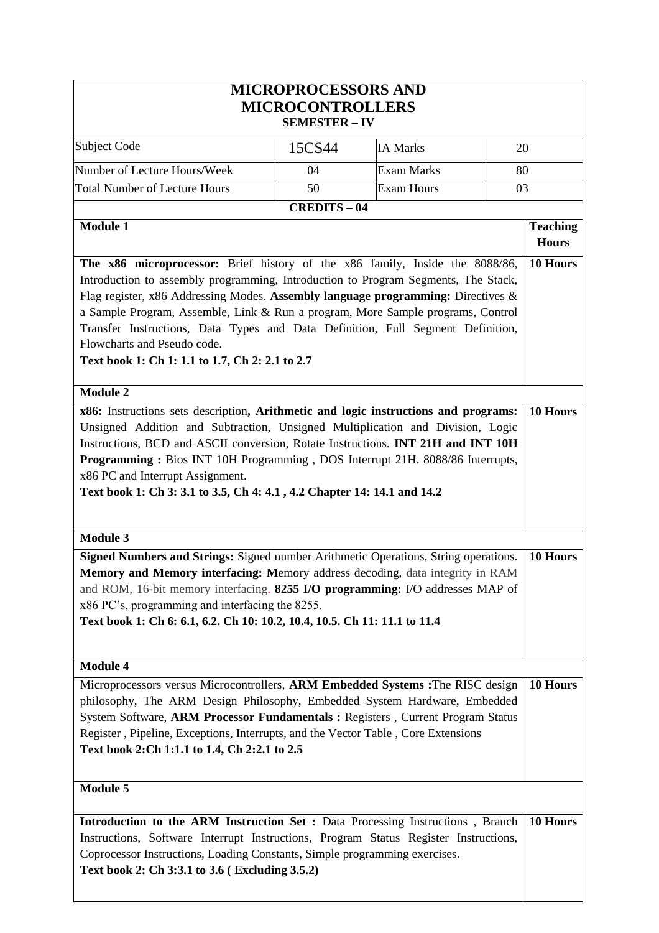|                                                                                                                                                                                                                                                                                                                                                                                                                                                                                                                                                                                                                                                                                                                                                                                                                                     | <b>MICROPROCESSORS AND</b><br><b>MICROCONTROLLERS</b><br><b>SEMESTER - IV</b> |                   |                                 |
|-------------------------------------------------------------------------------------------------------------------------------------------------------------------------------------------------------------------------------------------------------------------------------------------------------------------------------------------------------------------------------------------------------------------------------------------------------------------------------------------------------------------------------------------------------------------------------------------------------------------------------------------------------------------------------------------------------------------------------------------------------------------------------------------------------------------------------------|-------------------------------------------------------------------------------|-------------------|---------------------------------|
| Subject Code                                                                                                                                                                                                                                                                                                                                                                                                                                                                                                                                                                                                                                                                                                                                                                                                                        | 15CS44                                                                        | <b>IA Marks</b>   | 20                              |
| Number of Lecture Hours/Week                                                                                                                                                                                                                                                                                                                                                                                                                                                                                                                                                                                                                                                                                                                                                                                                        | 04                                                                            | <b>Exam Marks</b> | 80                              |
| <b>Total Number of Lecture Hours</b>                                                                                                                                                                                                                                                                                                                                                                                                                                                                                                                                                                                                                                                                                                                                                                                                | 50                                                                            | <b>Exam Hours</b> | 03                              |
|                                                                                                                                                                                                                                                                                                                                                                                                                                                                                                                                                                                                                                                                                                                                                                                                                                     | <b>CREDITS-04</b>                                                             |                   |                                 |
| Module 1                                                                                                                                                                                                                                                                                                                                                                                                                                                                                                                                                                                                                                                                                                                                                                                                                            |                                                                               |                   | <b>Teaching</b><br><b>Hours</b> |
| Introduction to assembly programming, Introduction to Program Segments, The Stack,<br>Flag register, x86 Addressing Modes. Assembly language programming: Directives &<br>a Sample Program, Assemble, Link & Run a program, More Sample programs, Control<br>Transfer Instructions, Data Types and Data Definition, Full Segment Definition,<br>Flowcharts and Pseudo code.<br>Text book 1: Ch 1: 1.1 to 1.7, Ch 2: 2.1 to 2.7<br><b>Module 2</b><br>x86: Instructions sets description, Arithmetic and logic instructions and programs:<br>Unsigned Addition and Subtraction, Unsigned Multiplication and Division, Logic<br>Instructions, BCD and ASCII conversion, Rotate Instructions. INT 21H and INT 10H<br>Programming: Bios INT 10H Programming, DOS Interrupt 21H. 8088/86 Interrupts,<br>x86 PC and Interrupt Assignment. |                                                                               |                   | 10 Hours                        |
| Text book 1: Ch 3: 3.1 to 3.5, Ch 4: 4.1, 4.2 Chapter 14: 14.1 and 14.2<br><b>Module 3</b><br>Signed Numbers and Strings: Signed number Arithmetic Operations, String operations.<br>Memory and Memory interfacing: Memory address decoding, data integrity in RAM<br>and ROM, 16-bit memory interfacing. 8255 I/O programming: I/O addresses MAP of                                                                                                                                                                                                                                                                                                                                                                                                                                                                                |                                                                               |                   | 10 Hours                        |
| x86 PC's, programming and interfacing the 8255.<br>Text book 1: Ch 6: 6.1, 6.2. Ch 10: 10.2, 10.4, 10.5. Ch 11: 11.1 to 11.4                                                                                                                                                                                                                                                                                                                                                                                                                                                                                                                                                                                                                                                                                                        |                                                                               |                   |                                 |
| <b>Module 4</b><br>Microprocessors versus Microcontrollers, ARM Embedded Systems : The RISC design<br>philosophy, The ARM Design Philosophy, Embedded System Hardware, Embedded<br>System Software, ARM Processor Fundamentals : Registers, Current Program Status<br>Register, Pipeline, Exceptions, Interrupts, and the Vector Table, Core Extensions<br>Text book 2: Ch 1:1.1 to 1.4, Ch 2:2.1 to 2.5                                                                                                                                                                                                                                                                                                                                                                                                                            |                                                                               |                   | 10 Hours                        |
| <b>Module 5</b>                                                                                                                                                                                                                                                                                                                                                                                                                                                                                                                                                                                                                                                                                                                                                                                                                     |                                                                               |                   |                                 |
| <b>Introduction to the ARM Instruction Set : Data Processing Instructions, Branch</b><br>Instructions, Software Interrupt Instructions, Program Status Register Instructions,<br>Coprocessor Instructions, Loading Constants, Simple programming exercises.<br>Text book 2: Ch 3:3.1 to 3.6 (Excluding 3.5.2)                                                                                                                                                                                                                                                                                                                                                                                                                                                                                                                       |                                                                               |                   | 10 Hours                        |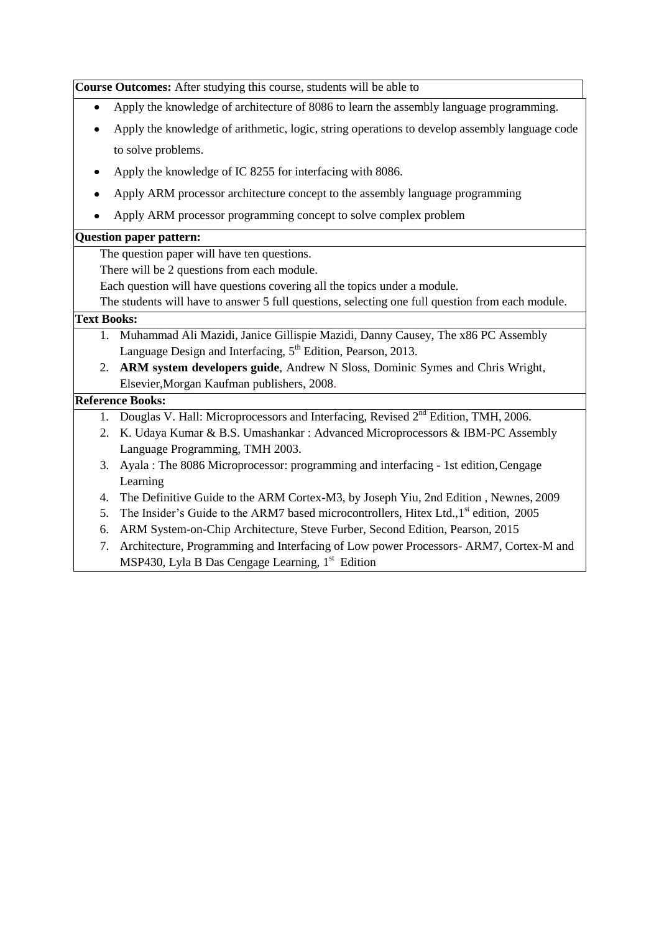**Course Outcomes:** After studying this course, students will be able to Apply the knowledge of architecture of 8086 to learn the assembly language programming.  $\bullet$ Apply the knowledge of arithmetic, logic, string operations to develop assembly language code to solve problems. Apply the knowledge of IC 8255 for interfacing with 8086. Apply ARM processor architecture concept to the assembly language programming Apply ARM processor programming concept to solve complex problem **Question paper pattern:** The question paper will have ten questions. There will be 2 questions from each module. Each question will have questions covering all the topics under a module. The students will have to answer 5 full questions, selecting one full question from each module. **Text Books:** 1. Muhammad Ali Mazidi, Janice Gillispie Mazidi, Danny Causey, The x86 PC Assembly Language Design and Interfacing,  $5<sup>th</sup>$  Edition, Pearson, 2013. 2. **ARM system developers guide**, Andrew N Sloss, Dominic Symes and Chris Wright, Elsevier,Morgan Kaufman publishers, 2008. **Reference Books:** 1. Douglas V. Hall: Microprocessors and Interfacing, Revised 2<sup>nd</sup> Edition, TMH, 2006. 2. K. Udaya Kumar & B.S. Umashankar : Advanced Microprocessors & IBM-PC Assembly Language Programming, TMH 2003. 3. Ayala : The 8086 Microprocessor: programming and interfacing - 1st edition,Cengage Learning 4. The Definitive Guide to the ARM Cortex-M3, by Joseph Yiu, 2nd Edition , Newnes, 2009 5. The Insider's Guide to the ARM7 based microcontrollers, Hitex Ltd., 1<sup>st</sup> edition, 2005 6. ARM System-on-Chip Architecture, Steve Furber, Second Edition, Pearson, 2015 7. Architecture, Programming and Interfacing of Low power Processors- ARM7, Cortex-M and MSP430, Lyla B Das Cengage Learning,  $1<sup>st</sup>$  Edition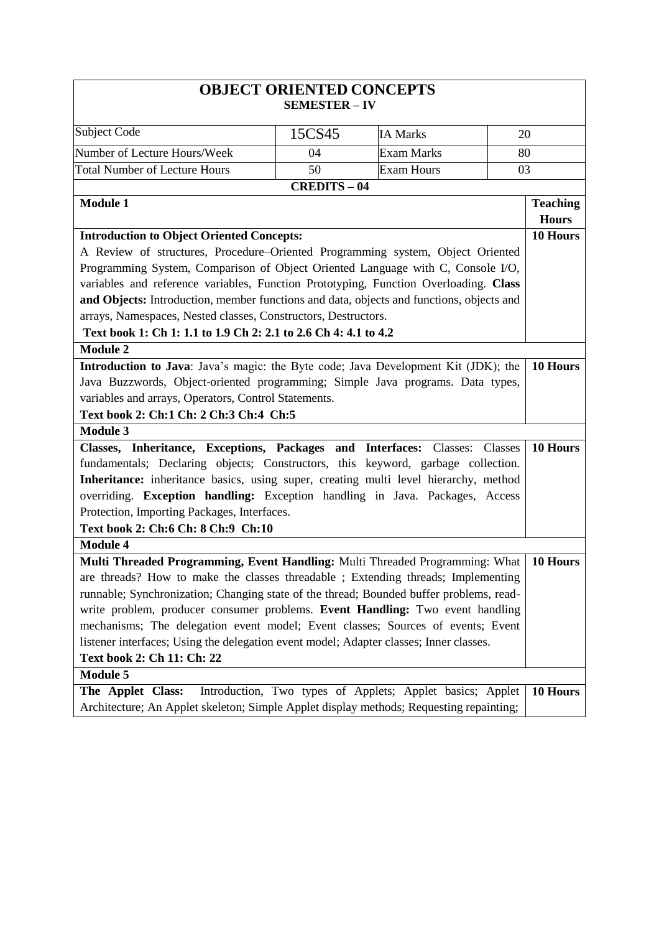|                                                                                          | <b>OBJECT ORIENTED CONCEPTS</b><br><b>SEMESTER - IV</b> |                                                           |                     |  |
|------------------------------------------------------------------------------------------|---------------------------------------------------------|-----------------------------------------------------------|---------------------|--|
| <b>Subject Code</b>                                                                      | 15CS45                                                  | <b>IA Marks</b>                                           | 20                  |  |
| Number of Lecture Hours/Week                                                             | 04                                                      | Exam Marks                                                | 80                  |  |
| <b>Total Number of Lecture Hours</b>                                                     | 50                                                      | <b>Exam Hours</b>                                         | 03                  |  |
|                                                                                          | <b>CREDITS-04</b>                                       |                                                           |                     |  |
| <b>Module 1</b>                                                                          |                                                         |                                                           | <b>Teaching</b>     |  |
|                                                                                          |                                                         |                                                           | <b>Hours</b>        |  |
| <b>Introduction to Object Oriented Concepts:</b>                                         |                                                         |                                                           | 10 Hours            |  |
| A Review of structures, Procedure–Oriented Programming system, Object Oriented           |                                                         |                                                           |                     |  |
| Programming System, Comparison of Object Oriented Language with C, Console I/O,          |                                                         |                                                           |                     |  |
| variables and reference variables, Function Prototyping, Function Overloading. Class     |                                                         |                                                           |                     |  |
| and Objects: Introduction, member functions and data, objects and functions, objects and |                                                         |                                                           |                     |  |
| arrays, Namespaces, Nested classes, Constructors, Destructors.                           |                                                         |                                                           |                     |  |
| Text book 1: Ch 1: 1.1 to 1.9 Ch 2: 2.1 to 2.6 Ch 4: 4.1 to 4.2                          |                                                         |                                                           |                     |  |
| <b>Module 2</b>                                                                          |                                                         |                                                           |                     |  |
| Introduction to Java: Java's magic: the Byte code; Java Development Kit (JDK); the       |                                                         |                                                           | 10 Hours            |  |
| Java Buzzwords, Object-oriented programming; Simple Java programs. Data types,           |                                                         |                                                           |                     |  |
| variables and arrays, Operators, Control Statements.                                     |                                                         |                                                           |                     |  |
| Text book 2: Ch:1 Ch: 2 Ch:3 Ch:4 Ch:5                                                   |                                                         |                                                           |                     |  |
| <b>Module 3</b>                                                                          |                                                         |                                                           |                     |  |
| Classes, Inheritance, Exceptions, Packages and Interfaces: Classes:                      |                                                         |                                                           | Classes<br>10 Hours |  |
| fundamentals; Declaring objects; Constructors, this keyword, garbage collection.         |                                                         |                                                           |                     |  |
| Inheritance: inheritance basics, using super, creating multi level hierarchy, method     |                                                         |                                                           |                     |  |
| overriding. Exception handling: Exception handling in Java. Packages, Access             |                                                         |                                                           |                     |  |
| Protection, Importing Packages, Interfaces.                                              |                                                         |                                                           |                     |  |
| Text book 2: Ch:6 Ch: 8 Ch: 9 Ch: 10                                                     |                                                         |                                                           |                     |  |
| <b>Module 4</b>                                                                          |                                                         |                                                           |                     |  |
| Multi Threaded Programming, Event Handling: Multi Threaded Programming: What             |                                                         |                                                           | 10 Hours            |  |
| are threads? How to make the classes threadable; Extending threads; Implementing         |                                                         |                                                           |                     |  |
| runnable; Synchronization; Changing state of the thread; Bounded buffer problems, read-  |                                                         |                                                           |                     |  |
| write problem, producer consumer problems. Event Handling: Two event handling            |                                                         |                                                           |                     |  |
| mechanisms; The delegation event model; Event classes; Sources of events; Event          |                                                         |                                                           |                     |  |
| listener interfaces; Using the delegation event model; Adapter classes; Inner classes.   |                                                         |                                                           |                     |  |
| Text book 2: Ch 11: Ch: 22                                                               |                                                         |                                                           |                     |  |
| Module 5                                                                                 |                                                         |                                                           |                     |  |
| The Applet Class:                                                                        |                                                         | Introduction, Two types of Applets; Applet basics; Applet | 10 Hours            |  |
| Architecture; An Applet skeleton; Simple Applet display methods; Requesting repainting;  |                                                         |                                                           |                     |  |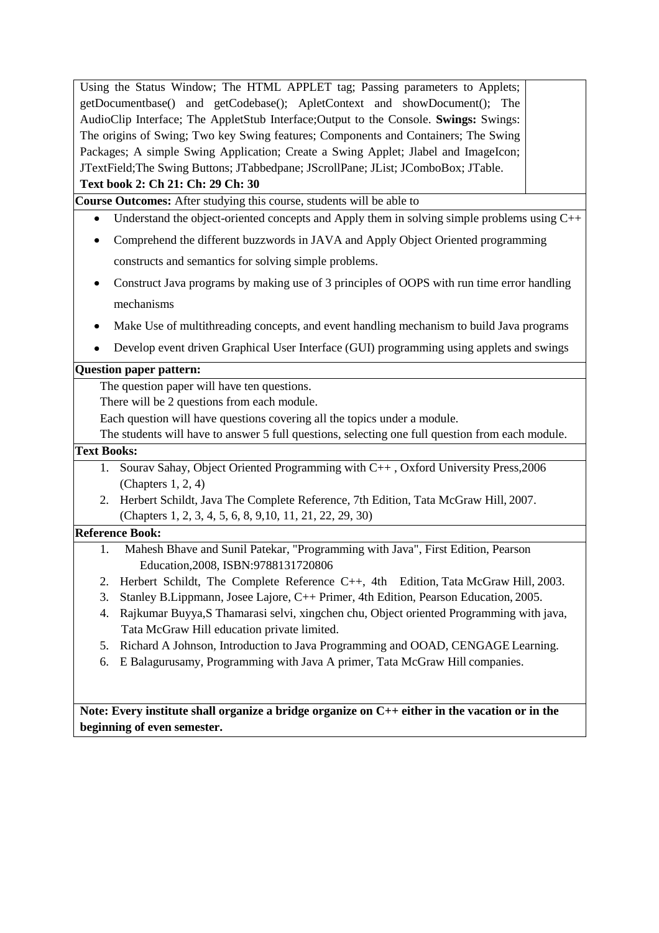Using the Status Window; The HTML APPLET tag; Passing parameters to Applets; getDocumentbase() and getCodebase(); ApletContext and showDocument(); The AudioClip Interface; The AppletStub Interface;Output to the Console. **Swings:** Swings: The origins of Swing; Two key Swing features; Components and Containers; The Swing Packages; A simple Swing Application; Create a Swing Applet; Jlabel and ImageIcon; JTextField;The Swing Buttons; JTabbedpane; JScrollPane; JList; JComboBox; JTable.

#### **Text book 2: Ch 21: Ch: 29 Ch: 30**

**Course Outcomes:** After studying this course, students will be able to

- Understand the object-oriented concepts and Apply them in solving simple problems using C++  $\bullet$
- $\bullet$ Comprehend the different buzzwords in JAVA and Apply Object Oriented programming constructs and semantics for solving simple problems.
- Construct Java programs by making use of 3 principles of OOPS with run time error handling mechanisms
- Make Use of multithreading concepts, and event handling mechanism to build Java programs
- Develop event driven Graphical User Interface (GUI) programming using applets and swings

#### **Question paper pattern:**

The question paper will have ten questions.

There will be 2 questions from each module.

Each question will have questions covering all the topics under a module.

The students will have to answer 5 full questions, selecting one full question from each module.

#### **Text Books:**

- 1. Sourav Sahay, Object Oriented Programming with C++ , Oxford University Press,2006 (Chapters 1, 2, 4)
- 2. Herbert Schildt, Java The Complete Reference, 7th Edition, Tata McGraw Hill, 2007. (Chapters 1, 2, 3, 4, 5, 6, 8, 9,10, 11, 21, 22, 29, 30)

#### **Reference Book:**

- 1. Mahesh Bhave and Sunil Patekar, "Programming with Java", First Edition, Pearson Education,2008, ISBN:9788131720806
- 2. Herbert Schildt, The Complete Reference C++, 4th Edition, Tata McGraw Hill, 2003.
- 3. Stanley B.Lippmann, Josee Lajore, C++ Primer, 4th Edition, Pearson Education, 2005.
- 4. Rajkumar Buyya,S Thamarasi selvi, xingchen chu, Object oriented Programming with java, Tata McGraw Hill education private limited.
- 5. Richard A Johnson, Introduction to Java Programming and OOAD, CENGAGE Learning.
- 6. E Balagurusamy, Programming with Java A primer, Tata McGraw Hill companies.

**Note: Every institute shall organize a bridge organize on C++ either in the vacation or in the beginning of even semester.**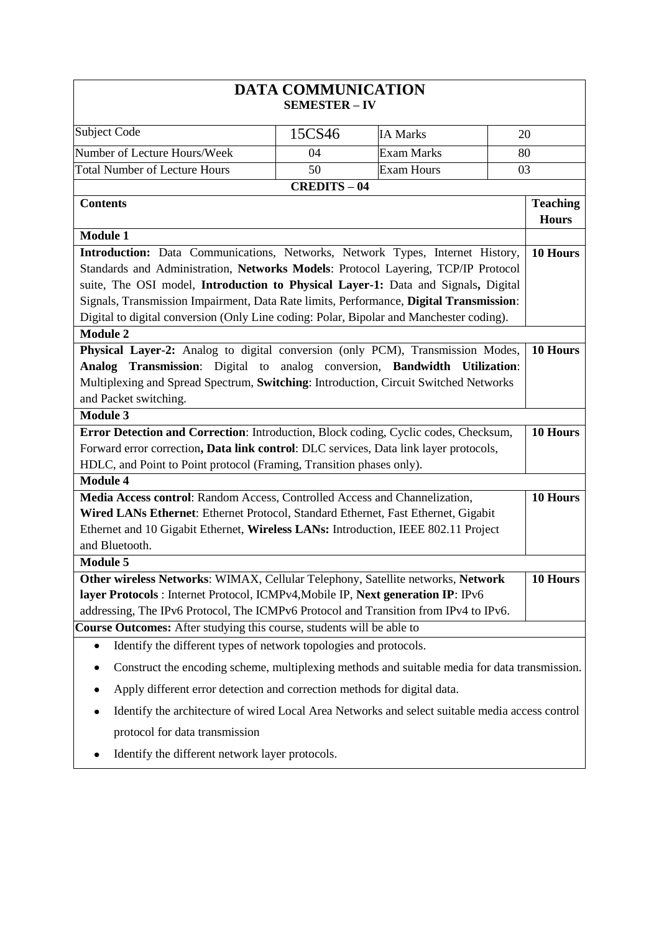|                                                                                                                                                                   | <b>DATA COMMUNICATION</b><br><b>SEMESTER - IV</b> |                   |                                 |
|-------------------------------------------------------------------------------------------------------------------------------------------------------------------|---------------------------------------------------|-------------------|---------------------------------|
| <b>Subject Code</b>                                                                                                                                               | 15CS46                                            | <b>IA Marks</b>   | 20                              |
| Number of Lecture Hours/Week                                                                                                                                      | 04                                                | <b>Exam Marks</b> | 80                              |
| <b>Total Number of Lecture Hours</b>                                                                                                                              | 50                                                | <b>Exam Hours</b> | 03                              |
|                                                                                                                                                                   | <b>CREDITS-04</b>                                 |                   |                                 |
| <b>Contents</b>                                                                                                                                                   |                                                   |                   | <b>Teaching</b><br><b>Hours</b> |
| <b>Module 1</b>                                                                                                                                                   |                                                   |                   |                                 |
| Introduction: Data Communications, Networks, Network Types, Internet History,                                                                                     |                                                   |                   | 10 Hours                        |
| Standards and Administration, Networks Models: Protocol Layering, TCP/IP Protocol                                                                                 |                                                   |                   |                                 |
| suite, The OSI model, Introduction to Physical Layer-1: Data and Signals, Digital                                                                                 |                                                   |                   |                                 |
| Signals, Transmission Impairment, Data Rate limits, Performance, Digital Transmission:                                                                            |                                                   |                   |                                 |
| Digital to digital conversion (Only Line coding: Polar, Bipolar and Manchester coding).                                                                           |                                                   |                   |                                 |
| <b>Module 2</b>                                                                                                                                                   |                                                   |                   |                                 |
| Physical Layer-2: Analog to digital conversion (only PCM), Transmission Modes,                                                                                    |                                                   |                   | 10 Hours                        |
| Analog Transmission: Digital to analog conversion, Bandwidth Utilization:<br>Multiplexing and Spread Spectrum, Switching: Introduction, Circuit Switched Networks |                                                   |                   |                                 |
| and Packet switching.                                                                                                                                             |                                                   |                   |                                 |
| <b>Module 3</b>                                                                                                                                                   |                                                   |                   |                                 |
| Error Detection and Correction: Introduction, Block coding, Cyclic codes, Checksum,                                                                               |                                                   |                   | 10 Hours                        |
| Forward error correction, Data link control: DLC services, Data link layer protocols,                                                                             |                                                   |                   |                                 |
| HDLC, and Point to Point protocol (Framing, Transition phases only).                                                                                              |                                                   |                   |                                 |
| <b>Module 4</b>                                                                                                                                                   |                                                   |                   |                                 |
| Media Access control: Random Access, Controlled Access and Channelization,                                                                                        |                                                   |                   | 10 Hours                        |
| Wired LANs Ethernet: Ethernet Protocol, Standard Ethernet, Fast Ethernet, Gigabit                                                                                 |                                                   |                   |                                 |
| Ethernet and 10 Gigabit Ethernet, Wireless LANs: Introduction, IEEE 802.11 Project                                                                                |                                                   |                   |                                 |
| and Bluetooth.                                                                                                                                                    |                                                   |                   |                                 |
| <b>Module 5</b>                                                                                                                                                   |                                                   |                   |                                 |
| Other wireless Networks: WIMAX, Cellular Telephony, Satellite networks, Network                                                                                   |                                                   |                   | 10 Hours                        |
| layer Protocols : Internet Protocol, ICMPv4, Mobile IP, Next generation IP: IPv6                                                                                  |                                                   |                   |                                 |
| addressing, The IPv6 Protocol, The ICMPv6 Protocol and Transition from IPv4 to IPv6.                                                                              |                                                   |                   |                                 |
| Course Outcomes: After studying this course, students will be able to                                                                                             |                                                   |                   |                                 |
| Identify the different types of network topologies and protocols.<br>$\bullet$                                                                                    |                                                   |                   |                                 |
| Construct the encoding scheme, multiplexing methods and suitable media for data transmission.                                                                     |                                                   |                   |                                 |
| Apply different error detection and correction methods for digital data.                                                                                          |                                                   |                   |                                 |
| Identify the architecture of wired Local Area Networks and select suitable media access control                                                                   |                                                   |                   |                                 |
| protocol for data transmission                                                                                                                                    |                                                   |                   |                                 |
| Identify the different network layer protocols.                                                                                                                   |                                                   |                   |                                 |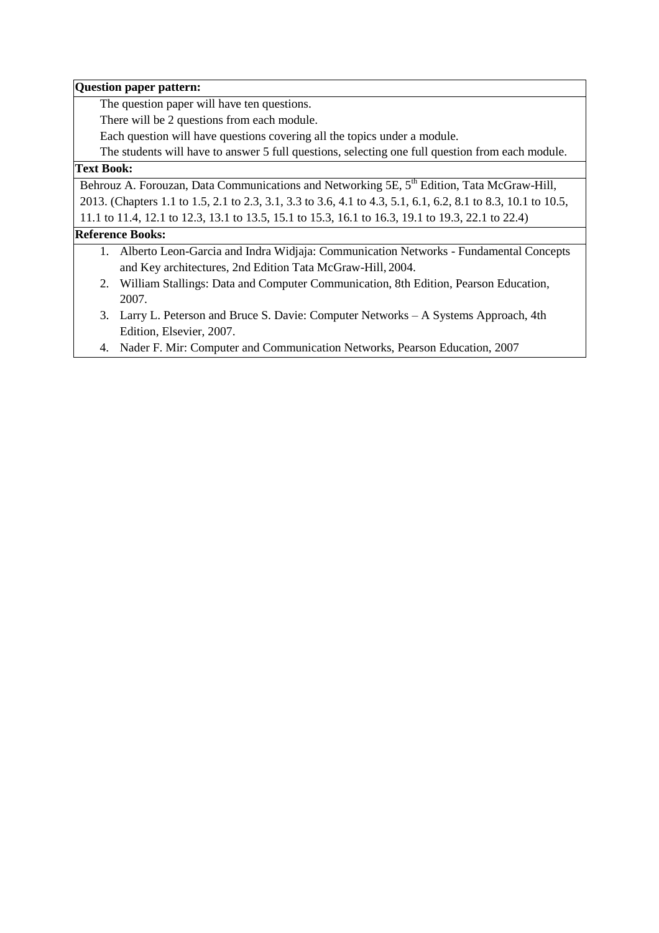#### **Question paper pattern:**

The question paper will have ten questions.

There will be 2 questions from each module.

Each question will have questions covering all the topics under a module.

The students will have to answer 5 full questions, selecting one full question from each module.

# **Text Book:**

Behrouz A. Forouzan, Data Communications and Networking 5E, 5<sup>th</sup> Edition, Tata McGraw-Hill, 2013. (Chapters 1.1 to 1.5, 2.1 to 2.3, 3.1, 3.3 to 3.6, 4.1 to 4.3, 5.1, 6.1, 6.2, 8.1 to 8.3, 10.1 to 10.5, 11.1 to 11.4, 12.1 to 12.3, 13.1 to 13.5, 15.1 to 15.3, 16.1 to 16.3, 19.1 to 19.3, 22.1 to 22.4)

#### **Reference Books:**

- 1. Alberto Leon-Garcia and Indra Widjaja: Communication Networks Fundamental Concepts and Key architectures, 2nd Edition Tata McGraw-Hill, 2004.
- 2. William Stallings: Data and Computer Communication, 8th Edition, Pearson Education, 2007.
- 3. Larry L. Peterson and Bruce S. Davie: Computer Networks A Systems Approach, 4th Edition, Elsevier, 2007.
- 4. Nader F. Mir: Computer and Communication Networks, Pearson Education, 2007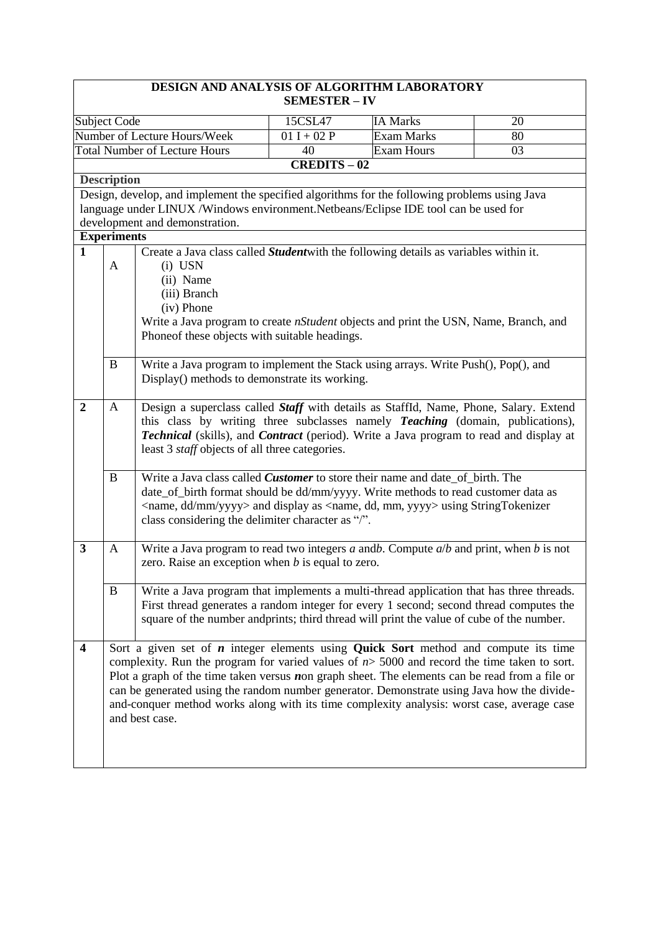|                                              |                                                                                                                                                                                                 | DESIGN AND ANALYSIS OF ALGORITHM LABORATORY                                                                                                                          | <b>SEMESTER – IV</b> |                                        |                       |  |  |
|----------------------------------------------|-------------------------------------------------------------------------------------------------------------------------------------------------------------------------------------------------|----------------------------------------------------------------------------------------------------------------------------------------------------------------------|----------------------|----------------------------------------|-----------------------|--|--|
|                                              |                                                                                                                                                                                                 |                                                                                                                                                                      |                      |                                        |                       |  |  |
| Subject Code<br>Number of Lecture Hours/Week |                                                                                                                                                                                                 |                                                                                                                                                                      | 15CSL47              | <b>IA Marks</b>                        | 20                    |  |  |
|                                              |                                                                                                                                                                                                 | <b>Total Number of Lecture Hours</b>                                                                                                                                 | $01 I + 02 P$<br>40  | <b>Exam Marks</b><br><b>Exam Hours</b> | 80<br>$\overline{03}$ |  |  |
|                                              |                                                                                                                                                                                                 |                                                                                                                                                                      | <b>CREDITS-02</b>    |                                        |                       |  |  |
|                                              | <b>Description</b>                                                                                                                                                                              |                                                                                                                                                                      |                      |                                        |                       |  |  |
|                                              |                                                                                                                                                                                                 | Design, develop, and implement the specified algorithms for the following problems using Java                                                                        |                      |                                        |                       |  |  |
|                                              |                                                                                                                                                                                                 | language under LINUX /Windows environment.Netbeans/Eclipse IDE tool can be used for                                                                                  |                      |                                        |                       |  |  |
|                                              |                                                                                                                                                                                                 | development and demonstration.                                                                                                                                       |                      |                                        |                       |  |  |
|                                              | <b>Experiments</b>                                                                                                                                                                              |                                                                                                                                                                      |                      |                                        |                       |  |  |
| $\mathbf{1}$                                 |                                                                                                                                                                                                 | Create a Java class called Student with the following details as variables within it.                                                                                |                      |                                        |                       |  |  |
|                                              | A                                                                                                                                                                                               | $(i)$ USN                                                                                                                                                            |                      |                                        |                       |  |  |
|                                              |                                                                                                                                                                                                 | (ii) Name                                                                                                                                                            |                      |                                        |                       |  |  |
|                                              |                                                                                                                                                                                                 | (iii) Branch                                                                                                                                                         |                      |                                        |                       |  |  |
|                                              |                                                                                                                                                                                                 | (iv) Phone                                                                                                                                                           |                      |                                        |                       |  |  |
|                                              |                                                                                                                                                                                                 | Write a Java program to create <i>nStudent</i> objects and print the USN, Name, Branch, and                                                                          |                      |                                        |                       |  |  |
|                                              |                                                                                                                                                                                                 | Phoneof these objects with suitable headings.                                                                                                                        |                      |                                        |                       |  |  |
|                                              | $\bf{B}$                                                                                                                                                                                        | Write a Java program to implement the Stack using arrays. Write Push(), Pop(), and                                                                                   |                      |                                        |                       |  |  |
|                                              |                                                                                                                                                                                                 | Display() methods to demonstrate its working.                                                                                                                        |                      |                                        |                       |  |  |
|                                              |                                                                                                                                                                                                 |                                                                                                                                                                      |                      |                                        |                       |  |  |
| $\overline{2}$                               | $\mathbf{A}$                                                                                                                                                                                    | Design a superclass called Staff with details as StaffId, Name, Phone, Salary. Extend                                                                                |                      |                                        |                       |  |  |
|                                              |                                                                                                                                                                                                 | this class by writing three subclasses namely <b>Teaching</b> (domain, publications),                                                                                |                      |                                        |                       |  |  |
|                                              |                                                                                                                                                                                                 | Technical (skills), and Contract (period). Write a Java program to read and display at                                                                               |                      |                                        |                       |  |  |
|                                              |                                                                                                                                                                                                 | least 3 <i>staff</i> objects of all three categories.                                                                                                                |                      |                                        |                       |  |  |
|                                              |                                                                                                                                                                                                 |                                                                                                                                                                      |                      |                                        |                       |  |  |
|                                              | $\bf{B}$                                                                                                                                                                                        | Write a Java class called <i>Customer</i> to store their name and date_of_birth. The                                                                                 |                      |                                        |                       |  |  |
|                                              |                                                                                                                                                                                                 | date_of_birth format should be dd/mm/yyyy. Write methods to read customer data as                                                                                    |                      |                                        |                       |  |  |
|                                              |                                                                                                                                                                                                 | <name, dd="" mm="" yyyy=""> and display as <name, dd,="" mm,="" yyyy=""> using StringTokenizer<br/>class considering the delimiter character as "/".</name,></name,> |                      |                                        |                       |  |  |
|                                              |                                                                                                                                                                                                 |                                                                                                                                                                      |                      |                                        |                       |  |  |
| 3                                            | $\mathbf{A}$                                                                                                                                                                                    | Write a Java program to read two integers $a$ and $b$ . Compute $a/b$ and print, when $b$ is not                                                                     |                      |                                        |                       |  |  |
|                                              |                                                                                                                                                                                                 | zero. Raise an exception when $b$ is equal to zero.                                                                                                                  |                      |                                        |                       |  |  |
|                                              |                                                                                                                                                                                                 |                                                                                                                                                                      |                      |                                        |                       |  |  |
|                                              | $\bf{B}$                                                                                                                                                                                        | Write a Java program that implements a multi-thread application that has three threads.                                                                              |                      |                                        |                       |  |  |
|                                              |                                                                                                                                                                                                 | First thread generates a random integer for every 1 second; second thread computes the                                                                               |                      |                                        |                       |  |  |
|                                              |                                                                                                                                                                                                 | square of the number andprints; third thread will print the value of cube of the number.                                                                             |                      |                                        |                       |  |  |
|                                              |                                                                                                                                                                                                 |                                                                                                                                                                      |                      |                                        |                       |  |  |
| $\overline{\mathbf{4}}$                      |                                                                                                                                                                                                 | Sort a given set of $n$ integer elements using Quick Sort method and compute its time                                                                                |                      |                                        |                       |  |  |
|                                              | complexity. Run the program for varied values of $n > 5000$ and record the time taken to sort.                                                                                                  |                                                                                                                                                                      |                      |                                        |                       |  |  |
|                                              | Plot a graph of the time taken versus $n$ on graph sheet. The elements can be read from a file or<br>can be generated using the random number generator. Demonstrate using Java how the divide- |                                                                                                                                                                      |                      |                                        |                       |  |  |
|                                              | and-conquer method works along with its time complexity analysis: worst case, average case                                                                                                      |                                                                                                                                                                      |                      |                                        |                       |  |  |
|                                              | and best case.                                                                                                                                                                                  |                                                                                                                                                                      |                      |                                        |                       |  |  |
|                                              |                                                                                                                                                                                                 |                                                                                                                                                                      |                      |                                        |                       |  |  |
|                                              |                                                                                                                                                                                                 |                                                                                                                                                                      |                      |                                        |                       |  |  |
|                                              |                                                                                                                                                                                                 |                                                                                                                                                                      |                      |                                        |                       |  |  |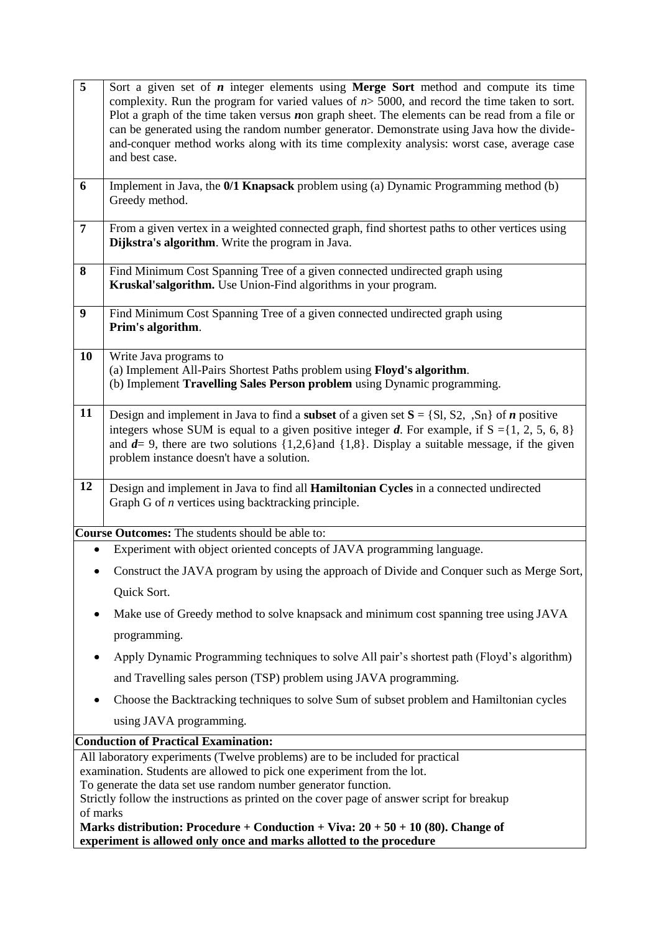| $\overline{5}$ | Sort a given set of $n$ integer elements using Merge Sort method and compute its time<br>complexity. Run the program for varied values of $n > 5000$ , and record the time taken to sort.<br>Plot a graph of the time taken versus $\boldsymbol{n}$ on graph sheet. The elements can be read from a file or<br>can be generated using the random number generator. Demonstrate using Java how the divide- |
|----------------|-----------------------------------------------------------------------------------------------------------------------------------------------------------------------------------------------------------------------------------------------------------------------------------------------------------------------------------------------------------------------------------------------------------|
|                | and-conquer method works along with its time complexity analysis: worst case, average case                                                                                                                                                                                                                                                                                                                |
|                | and best case.                                                                                                                                                                                                                                                                                                                                                                                            |
|                |                                                                                                                                                                                                                                                                                                                                                                                                           |
| 6              | Implement in Java, the 0/1 Knapsack problem using (a) Dynamic Programming method (b)<br>Greedy method.                                                                                                                                                                                                                                                                                                    |
| $\overline{7}$ | From a given vertex in a weighted connected graph, find shortest paths to other vertices using<br>Dijkstra's algorithm. Write the program in Java.                                                                                                                                                                                                                                                        |
| 8              | Find Minimum Cost Spanning Tree of a given connected undirected graph using                                                                                                                                                                                                                                                                                                                               |
|                | Kruskal'salgorithm. Use Union-Find algorithms in your program.                                                                                                                                                                                                                                                                                                                                            |
|                |                                                                                                                                                                                                                                                                                                                                                                                                           |
| 9              | Find Minimum Cost Spanning Tree of a given connected undirected graph using<br>Prim's algorithm.                                                                                                                                                                                                                                                                                                          |
| 10             | Write Java programs to                                                                                                                                                                                                                                                                                                                                                                                    |
|                | (a) Implement All-Pairs Shortest Paths problem using Floyd's algorithm.                                                                                                                                                                                                                                                                                                                                   |
|                | (b) Implement Travelling Sales Person problem using Dynamic programming.                                                                                                                                                                                                                                                                                                                                  |
| 11             |                                                                                                                                                                                                                                                                                                                                                                                                           |
|                | Design and implement in Java to find a <b>subset</b> of a given set $S = \{S_1, S_2, S_n\}$ of <i>n</i> positive<br>integers whose SUM is equal to a given positive integer d. For example, if $S = \{1, 2, 5, 6, 8\}$                                                                                                                                                                                    |
|                | and $d=9$ , there are two solutions $\{1,2,6\}$ and $\{1,8\}$ . Display a suitable message, if the given                                                                                                                                                                                                                                                                                                  |
|                | problem instance doesn't have a solution.                                                                                                                                                                                                                                                                                                                                                                 |
|                |                                                                                                                                                                                                                                                                                                                                                                                                           |
| 12             | Design and implement in Java to find all Hamiltonian Cycles in a connected undirected                                                                                                                                                                                                                                                                                                                     |
|                | Graph G of <i>n</i> vertices using backtracking principle.                                                                                                                                                                                                                                                                                                                                                |
|                | Course Outcomes: The students should be able to:                                                                                                                                                                                                                                                                                                                                                          |
|                | Experiment with object oriented concepts of JAVA programming language.                                                                                                                                                                                                                                                                                                                                    |
|                |                                                                                                                                                                                                                                                                                                                                                                                                           |
|                | Construct the JAVA program by using the approach of Divide and Conquer such as Merge Sort,                                                                                                                                                                                                                                                                                                                |
|                | Quick Sort.                                                                                                                                                                                                                                                                                                                                                                                               |
|                | Make use of Greedy method to solve knapsack and minimum cost spanning tree using JAVA                                                                                                                                                                                                                                                                                                                     |
|                | programming.                                                                                                                                                                                                                                                                                                                                                                                              |
|                | Apply Dynamic Programming techniques to solve All pair's shortest path (Floyd's algorithm)                                                                                                                                                                                                                                                                                                                |
|                | and Travelling sales person (TSP) problem using JAVA programming.                                                                                                                                                                                                                                                                                                                                         |
|                | Choose the Backtracking techniques to solve Sum of subset problem and Hamiltonian cycles                                                                                                                                                                                                                                                                                                                  |
|                | using JAVA programming.                                                                                                                                                                                                                                                                                                                                                                                   |
|                | <b>Conduction of Practical Examination:</b>                                                                                                                                                                                                                                                                                                                                                               |
|                | All laboratory experiments (Twelve problems) are to be included for practical                                                                                                                                                                                                                                                                                                                             |
|                | examination. Students are allowed to pick one experiment from the lot.                                                                                                                                                                                                                                                                                                                                    |
|                | To generate the data set use random number generator function.                                                                                                                                                                                                                                                                                                                                            |
| of marks       | Strictly follow the instructions as printed on the cover page of answer script for breakup                                                                                                                                                                                                                                                                                                                |
|                | Marks distribution: Procedure + Conduction + Viva: $20 + 50 + 10$ (80). Change of                                                                                                                                                                                                                                                                                                                         |
|                | experiment is allowed only once and marks allotted to the procedure                                                                                                                                                                                                                                                                                                                                       |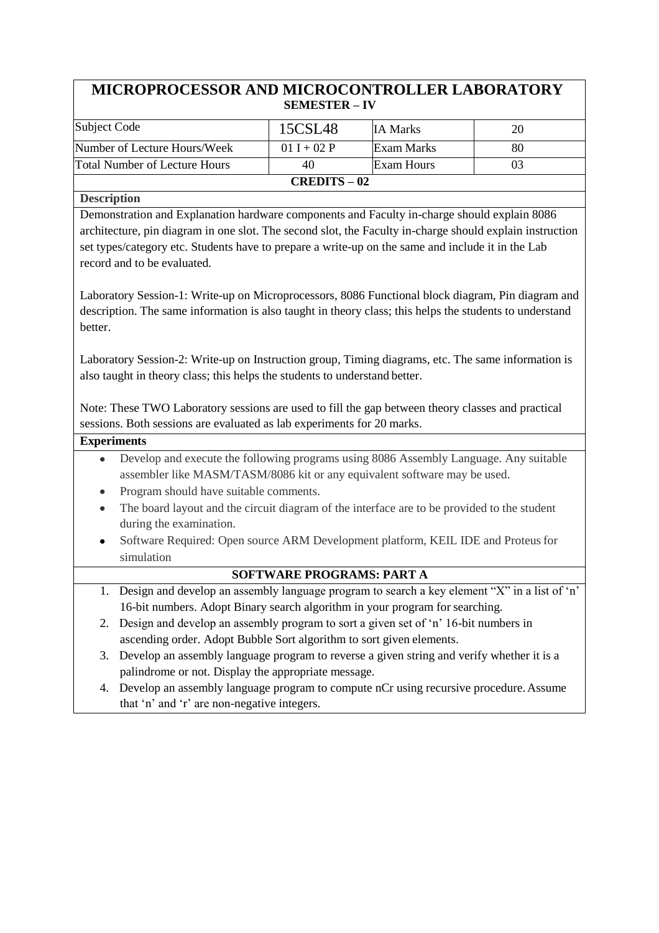# **MICROPROCESSOR AND MICROCONTROLLER LABORATORY SEMESTER – IV**

| Subject Code                  | 15CSL48       | <b>IA Marks</b> | 20 |
|-------------------------------|---------------|-----------------|----|
| Number of Lecture Hours/Week  | $01 I + 02 P$ | Exam Marks      | 80 |
| Total Number of Lecture Hours | 40            | Exam Hours      |    |
| $CREDITS-02$                  |               |                 |    |

**Description**

Demonstration and Explanation hardware components and Faculty in-charge should explain 8086 architecture, pin diagram in one slot. The second slot, the Faculty in-charge should explain instruction set types/category etc. Students have to prepare a write-up on the same and include it in the Lab record and to be evaluated.

Laboratory Session-1: Write-up on Microprocessors, 8086 Functional block diagram, Pin diagram and description. The same information is also taught in theory class; this helps the students to understand better.

Laboratory Session-2: Write-up on Instruction group, Timing diagrams, etc. The same information is also taught in theory class; this helps the students to understand better.

Note: These TWO Laboratory sessions are used to fill the gap between theory classes and practical sessions. Both sessions are evaluated as lab experiments for 20 marks.

#### **Experiments**

- Develop and execute the following programs using 8086 Assembly Language. Any suitable  $\bullet$ assembler like MASM/TASM/8086 kit or any equivalent software may be used.
- Program should have suitable comments.
- The board layout and the circuit diagram of the interface are to be provided to the student during the examination.
- $\bullet$ Software Required: Open source ARM Development platform, KEIL IDE and Proteusfor simulation

#### **SOFTWARE PROGRAMS: PART A**

- 1. Design and develop an assembly language program to search a key element "X" in a list of "n" 16-bit numbers. Adopt Binary search algorithm in your program for searching.
- 2. Design and develop an assembly program to sort a given set of "n" 16-bit numbers in ascending order. Adopt Bubble Sort algorithm to sort given elements.
- 3. Develop an assembly language program to reverse a given string and verify whether it is a palindrome or not. Display the appropriate message.
- 4. Develop an assembly language program to compute nCr using recursive procedure.Assume that 'n' and 'r' are non-negative integers.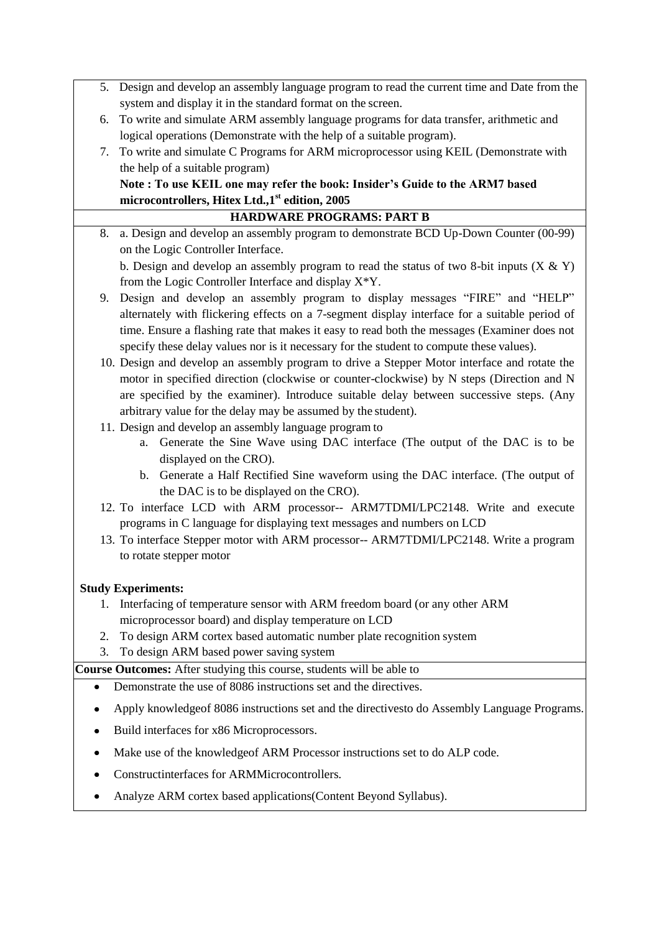|    | 5. Design and develop an assembly language program to read the current time and Date from the                            |
|----|--------------------------------------------------------------------------------------------------------------------------|
|    | system and display it in the standard format on the screen.                                                              |
| 6. | To write and simulate ARM assembly language programs for data transfer, arithmetic and                                   |
|    | logical operations (Demonstrate with the help of a suitable program).                                                    |
| 7. | To write and simulate C Programs for ARM microprocessor using KEIL (Demonstrate with                                     |
|    | the help of a suitable program)                                                                                          |
|    | Note: To use KEIL one may refer the book: Insider's Guide to the ARM7 based                                              |
|    | microcontrollers, Hitex Ltd., 1st edition, 2005                                                                          |
| 8. | <b>HARDWARE PROGRAMS: PART B</b><br>a. Design and develop an assembly program to demonstrate BCD Up-Down Counter (00-99) |
|    | on the Logic Controller Interface.                                                                                       |
|    | b. Design and develop an assembly program to read the status of two 8-bit inputs $(X & Y)$                               |
|    | from the Logic Controller Interface and display $X^*Y$ .                                                                 |
| 9. | Design and develop an assembly program to display messages "FIRE" and "HELP"                                             |
|    | alternately with flickering effects on a 7-segment display interface for a suitable period of                            |
|    | time. Ensure a flashing rate that makes it easy to read both the messages (Examiner does not                             |
|    | specify these delay values nor is it necessary for the student to compute these values).                                 |
|    | 10. Design and develop an assembly program to drive a Stepper Motor interface and rotate the                             |
|    | motor in specified direction (clockwise or counter-clockwise) by N steps (Direction and N                                |
|    | are specified by the examiner). Introduce suitable delay between successive steps. (Any                                  |
|    | arbitrary value for the delay may be assumed by the student).                                                            |
|    | 11. Design and develop an assembly language program to                                                                   |
|    | Generate the Sine Wave using DAC interface (The output of the DAC is to be<br>a.                                         |
|    | displayed on the CRO).                                                                                                   |
|    | b. Generate a Half Rectified Sine waveform using the DAC interface. (The output of                                       |
|    | the DAC is to be displayed on the CRO).<br>12. To interface LCD with ARM processor-- ARM7TDMI/LPC2148. Write and execute |
|    | programs in C language for displaying text messages and numbers on LCD                                                   |
|    | 13. To interface Stepper motor with ARM processor-- ARM7TDMI/LPC2148. Write a program                                    |
|    | to rotate stepper motor                                                                                                  |
|    |                                                                                                                          |
|    | <b>Study Experiments:</b>                                                                                                |
| 1. | Interfacing of temperature sensor with ARM freedom board (or any other ARM                                               |
|    | microprocessor board) and display temperature on LCD                                                                     |
| 2. | To design ARM cortex based automatic number plate recognition system                                                     |
| 3. | To design ARM based power saving system                                                                                  |
|    | Course Outcomes: After studying this course, students will be able to                                                    |
| ٠  | Demonstrate the use of 8086 instructions set and the directives.                                                         |
|    | Apply knowledge of 8086 instructions set and the directives to do Assembly Language Programs.                            |
|    | Build interfaces for x86 Microprocessors.                                                                                |
| ٠  | Make use of the knowledgeof ARM Processor instructions set to do ALP code.                                               |
|    | Constructinterfaces for ARMMicrocontrollers.                                                                             |
|    | Analyze ARM cortex based applications (Content Beyond Syllabus).                                                         |